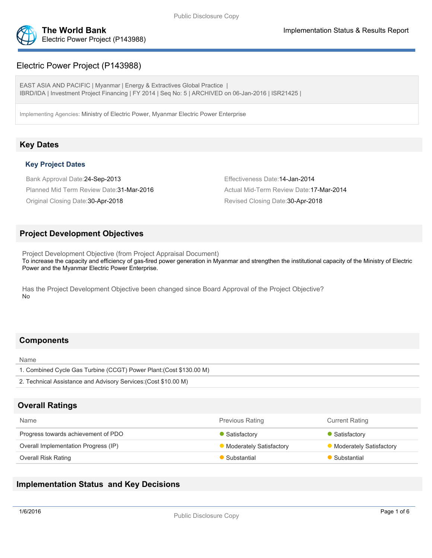

# Electric Power Project (P143988)

EAST ASIA AND PACIFIC | Myanmar | Energy & Extractives Global Practice | IBRD/IDA | Investment Project Financing | FY 2014 | Seq No: 5 | ARCHIVED on 06-Jan-2016 | ISR21425 |

Implementing Agencies: Ministry of Electric Power, Myanmar Electric Power Enterprise

# **Key Dates**

## **Key Project Dates**

Bank Approval Date:24-Sep-2013 Effectiveness Date:14-Jan-2014 Planned Mid Term Review Date: 31-Mar-2016 Actual Mid-Term Review Date: 17-Mar-2014 Original Closing Date:30-Apr-2018 Revised Closing Date:30-Apr-2018

# **Project Development Objectives**

Project Development Objective (from Project Appraisal Document) To increase the capacity and efficiency of gas-fired power generation in Myanmar and strengthen the institutional capacity of the Ministry of Electric Power and the Myanmar Electric Power Enterprise.

Has the Project Development Objective been changed since Board Approval of the Project Objective? No

# **Components**

Name

| 1. Combined Cycle Gas Turbine (CCGT) Power Plant (Cost \$130.00 M) |
|--------------------------------------------------------------------|
| 2. Technical Assistance and Advisory Services (Cost \$10.00 M)     |
|                                                                    |

# **Overall Ratings**

| Name                                 | <b>Previous Rating</b>         | <b>Current Rating</b>   |
|--------------------------------------|--------------------------------|-------------------------|
| Progress towards achievement of PDO  | Satisfactory                   | Satisfactory            |
| Overall Implementation Progress (IP) | <b>Moderately Satisfactory</b> | Moderately Satisfactory |
| <b>Overall Risk Rating</b>           | Substantial                    | Substantial             |

# **Implementation Status and Key Decisions**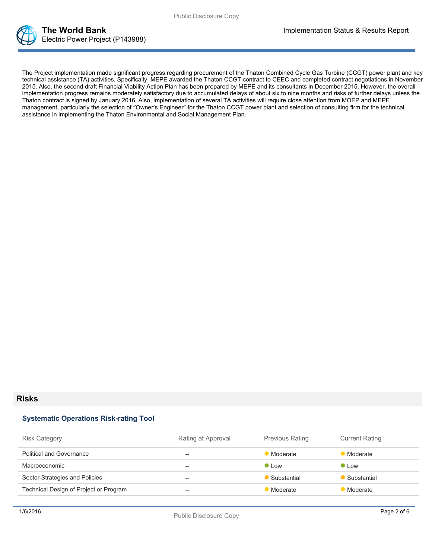

The Project implementation made significant progress regarding procurement of the Thaton Combined Cycle Gas Turbine (CCGT) power plant and key technical assistance (TA) activities. Specifically, MEPE awarded the Thaton CCGT contract to CEEC and completed contract negotiations in November 2015. Also, the second draft Financial Viability Action Plan has been prepared by MEPE and its consultants in December 2015. However, the overall implementation progress remains moderately satisfactory due to accumulated delays of about six to nine months and risks of further delays unless the Thaton contract is signed by January 2016. Also, implementation of several TA activities will require close attention from MOEP and MEPE management, particularly the selection of "Owner's Engineer" for the Thaton CCGT power plant and selection of consulting firm for the technical assistance in implementing the Thaton Environmental and Social Management Plan.

#### **Risks**

#### **Systematic Operations Risk-rating Tool**

| <b>Risk Category</b>                   | Rating at Approval | <b>Previous Rating</b> | <b>Current Rating</b> |
|----------------------------------------|--------------------|------------------------|-----------------------|
| <b>Political and Governance</b>        | --                 | Moderate               | Moderate              |
| Macroeconomic                          | $- -$              | $\bullet$ Low          | $\bullet$ Low         |
| Sector Strategies and Policies         | $- -$              | Substantial            | Substantial           |
| Technical Design of Project or Program | --                 | Moderate               | Moderate              |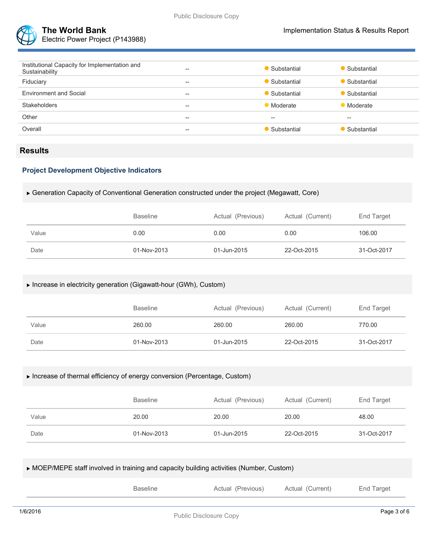

Electric Power Project (P143988)

| Institutional Capacity for Implementation and<br>Sustainability | $- -$ | Substantial   | Substantial           |
|-----------------------------------------------------------------|-------|---------------|-----------------------|
| Fiduciary                                                       | $- -$ | • Substantial | Substantial           |
| <b>Environment and Social</b>                                   | $- -$ | • Substantial | $\bullet$ Substantial |
| <b>Stakeholders</b>                                             | $- -$ | • Moderate    | Moderate              |
| Other                                                           | $- -$ | $-$           | --                    |
| Overall                                                         | $- -$ | Substantial   | Substantial           |
|                                                                 |       |               |                       |

## **Results**

## **Project Development Objective Indicators**

### Generation Capacity of Conventional Generation constructed under the project (Megawatt, Core)

|       | <b>Baseline</b> | Actual (Previous) | Actual (Current) | End Target  |
|-------|-----------------|-------------------|------------------|-------------|
| Value | 0.00            | 0.00              | 0.00             | 106.00      |
| Date  | 01-Nov-2013     | 01-Jun-2015       | 22-Oct-2015      | 31-Oct-2017 |

#### Increase in electricity generation (Gigawatt-hour (GWh), Custom)

|       | <b>Baseline</b> | Actual (Previous) | Actual (Current) | End Target  |
|-------|-----------------|-------------------|------------------|-------------|
| Value | 260.00          | 260.00            | 260.00           | 770.00      |
| Date  | 01-Nov-2013     | 01-Jun-2015       | 22-Oct-2015      | 31-Oct-2017 |

### Increase of thermal efficiency of energy conversion (Percentage, Custom)

|       | <b>Baseline</b> | Actual (Previous) | Actual (Current) | End Target  |
|-------|-----------------|-------------------|------------------|-------------|
| Value | 20.00           | 20.00             | 20.00            | 48.00       |
| Date  | 01-Nov-2013     | 01-Jun-2015       | 22-Oct-2015      | 31-Oct-2017 |

## MOEP/MEPE staff involved in training and capacity building activities (Number, Custom)

|          | <b>Baseline</b> | Actual (Previous)                                             | Actual (Current) | End Target  |
|----------|-----------------|---------------------------------------------------------------|------------------|-------------|
|          |                 |                                                               |                  |             |
| 1/6/2016 |                 | $\mathbb{R}$ . If $\mathbb{R}^n$ is the set of $\mathbb{R}^n$ |                  | Page 3 of 6 |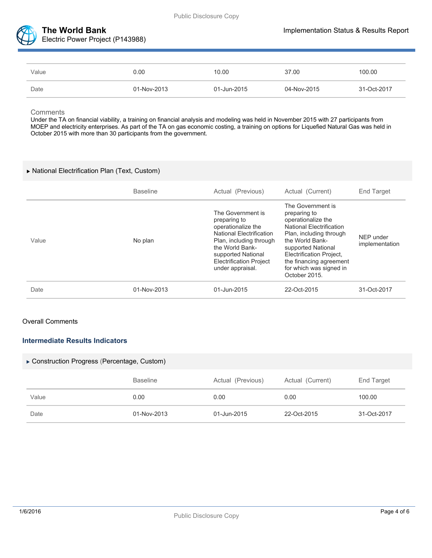

| Value | 0.00        | 10.00       | 37.00       | 100.00      |
|-------|-------------|-------------|-------------|-------------|
| Date  | 01-Nov-2013 | 01-Jun-2015 | 04-Nov-2015 | 31-Oct-2017 |

#### **Comments**

Under the TA on financial viability, a training on financial analysis and modeling was held in November 2015 with 27 participants from MOEP and electricity enterprises. As part of the TA on gas economic costing, a training on options for Liquefied Natural Gas was held in October 2015 with more than 30 participants from the government.

## National Electrification Plan (Text, Custom)

|       | <b>Baseline</b> | Actual (Previous)                                                                                                                                                                                                    | Actual (Current)                                                                                                                                                                                                                                                         | <b>End Target</b>           |
|-------|-----------------|----------------------------------------------------------------------------------------------------------------------------------------------------------------------------------------------------------------------|--------------------------------------------------------------------------------------------------------------------------------------------------------------------------------------------------------------------------------------------------------------------------|-----------------------------|
| Value | No plan         | The Government is<br>preparing to<br>operationalize the<br><b>National Electrification</b><br>Plan, including through<br>the World Bank-<br>supported National<br><b>Electrification Project</b><br>under appraisal. | The Government is<br>preparing to<br>operationalize the<br><b>National Electrification</b><br>Plan, including through<br>the World Bank-<br>supported National<br><b>Electrification Project,</b><br>the financing agreement<br>for which was signed in<br>October 2015. | NEP under<br>implementation |
| Date  | 01-Nov-2013     | 01-Jun-2015                                                                                                                                                                                                          | 22-Oct-2015                                                                                                                                                                                                                                                              | 31-Oct-2017                 |

#### Overall Comments

## **Intermediate Results Indicators**

#### Construction Progress (Percentage, Custom)

|       | <b>Baseline</b> | Actual (Previous) | Actual (Current) | End Target  |
|-------|-----------------|-------------------|------------------|-------------|
| Value | 0.00            | 0.00              | 0.00             | 100.00      |
| Date  | 01-Nov-2013     | 01-Jun-2015       | 22-Oct-2015      | 31-Oct-2017 |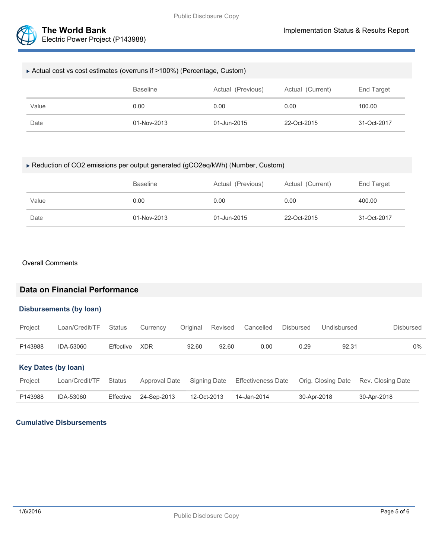

| ► Actual cost vs cost estimates (overruns if >100%) (Percentage, Custom) |                 |                   |                  |             |  |
|--------------------------------------------------------------------------|-----------------|-------------------|------------------|-------------|--|
|                                                                          | <b>Baseline</b> | Actual (Previous) | Actual (Current) | End Target  |  |
| Value                                                                    | 0.00            | 0.00              | 0.00             | 100.00      |  |
| Date                                                                     | 01-Nov-2013     | 01-Jun-2015       | 22-Oct-2015      | 31-Oct-2017 |  |

## Reduction of CO2 emissions per output generated (gCO2eq/kWh) (Number, Custom)

|       | <b>Baseline</b> | Actual (Previous) | Actual (Current) | End Target  |
|-------|-----------------|-------------------|------------------|-------------|
| Value | 0.00            | 0.00              | 0.00             | 400.00      |
| Date  | 01-Nov-2013     | 01-Jun-2015       | 22-Oct-2015      | 31-Oct-2017 |

#### Overall Comments

# **Data on Financial Performance**

#### **Disbursements (by loan)**

| Project                    | Loan/Credit/TF | Status           | Currency      | Original    | Revised      | Cancelled                 | <b>Disbursed</b> | Undisbursed        | Disbursed         |  |
|----------------------------|----------------|------------------|---------------|-------------|--------------|---------------------------|------------------|--------------------|-------------------|--|
| P143988                    | IDA-53060      | Effective        | <b>XDR</b>    | 92.60       | 92.60        | 0.00                      | 0.29             | 92.31              | 0%                |  |
| <b>Key Dates (by loan)</b> |                |                  |               |             |              |                           |                  |                    |                   |  |
| Project                    | Loan/Credit/TF | <b>Status</b>    | Approval Date |             | Signing Date | <b>Effectiveness Date</b> |                  | Orig. Closing Date | Rev. Closing Date |  |
| P143988                    | IDA-53060      | <b>Effective</b> | 24-Sep-2013   | 12-Oct-2013 |              | 14-Jan-2014               |                  | 30-Apr-2018        | 30-Apr-2018       |  |

### **Cumulative Disbursements**